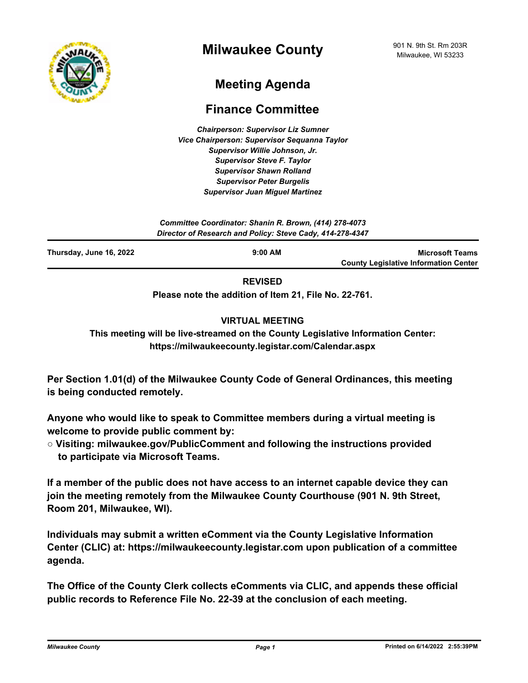

# **Meeting Agenda**

## **Finance Committee**

*Chairperson: Supervisor Liz Sumner Vice Chairperson: Supervisor Sequanna Taylor Supervisor Willie Johnson, Jr. Supervisor Steve F. Taylor Supervisor Shawn Rolland Supervisor Peter Burgelis Supervisor Juan Miguel Martinez*

*Committee Coordinator: Shanin R. Brown, (414) 278-4073 Director of Research and Policy: Steve Cady, 414-278-4347*

| Thursday, June 16, 2022 | $9:00$ AM | <b>Microsoft Teams</b>                       |
|-------------------------|-----------|----------------------------------------------|
|                         |           | <b>County Legislative Information Center</b> |
|                         | -------   |                                              |

**REVISED**

**Please note the addition of Item 21, File No. 22-761.**

### **VIRTUAL MEETING**

**This meeting will be live-streamed on the County Legislative Information Center: https://milwaukeecounty.legistar.com/Calendar.aspx**

**Per Section 1.01(d) of the Milwaukee County Code of General Ordinances, this meeting is being conducted remotely.**

**Anyone who would like to speak to Committee members during a virtual meeting is welcome to provide public comment by:**

**○ Visiting: milwaukee.gov/PublicComment and following the instructions provided to participate via Microsoft Teams.**

**If a member of the public does not have access to an internet capable device they can join the meeting remotely from the Milwaukee County Courthouse (901 N. 9th Street, Room 201, Milwaukee, WI).**

**Individuals may submit a written eComment via the County Legislative Information Center (CLIC) at: https://milwaukeecounty.legistar.com upon publication of a committee agenda.**

**The Office of the County Clerk collects eComments via CLIC, and appends these official public records to Reference File No. 22-39 at the conclusion of each meeting.**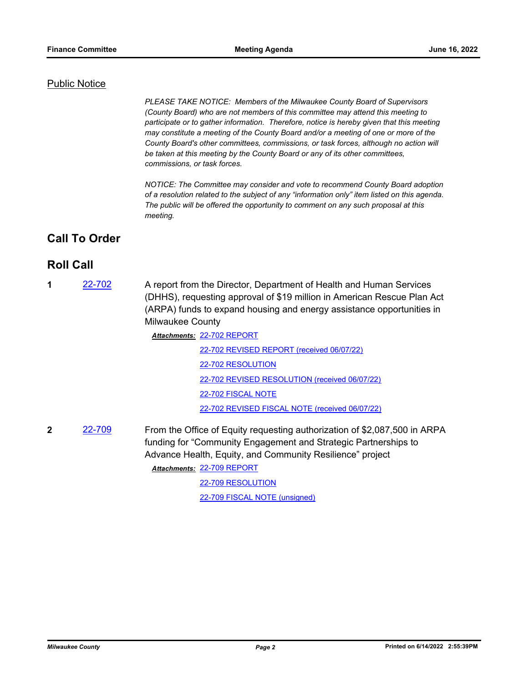#### Public Notice

*PLEASE TAKE NOTICE: Members of the Milwaukee County Board of Supervisors (County Board) who are not members of this committee may attend this meeting to participate or to gather information. Therefore, notice is hereby given that this meeting may constitute a meeting of the County Board and/or a meeting of one or more of the County Board's other committees, commissions, or task forces, although no action will be taken at this meeting by the County Board or any of its other committees, commissions, or task forces.*

*NOTICE: The Committee may consider and vote to recommend County Board adoption of a resolution related to the subject of any "information only" item listed on this agenda. The public will be offered the opportunity to comment on any such proposal at this meeting.*

### **Call To Order**

### **Roll Call**

**1** [22-702](http://milwaukeecounty.legistar.com/gateway.aspx?m=l&id=/matter.aspx?key=12401) A report from the Director, Department of Health and Human Services (DHHS), requesting approval of \$19 million in American Rescue Plan Act (ARPA) funds to expand housing and energy assistance opportunities in Milwaukee County

> [22-702 REPORT](http://MilwaukeeCounty.legistar.com/gateway.aspx?M=F&ID=6707f968-3e1d-49f1-8932-c38721b0d214.pdf) *Attachments:* [22-702 REVISED REPORT \(received 06/07/22\)](http://MilwaukeeCounty.legistar.com/gateway.aspx?M=F&ID=9ca9fb52-0b9e-4a6a-98b9-b669462208b5.pdf) [22-702 RESOLUTION](http://MilwaukeeCounty.legistar.com/gateway.aspx?M=F&ID=8a978f5c-a8c2-493f-9af4-7082ee6f1269.docx) [22-702 REVISED RESOLUTION \(received 06/07/22\)](http://MilwaukeeCounty.legistar.com/gateway.aspx?M=F&ID=1e08b81e-41c6-4c49-9f72-4c1ccd9282aa.docx) [22-702 FISCAL NOTE](http://MilwaukeeCounty.legistar.com/gateway.aspx?M=F&ID=f0d9c548-686e-4797-b17a-84e5216369a5.pdf) [22-702 REVISED FISCAL NOTE \(received 06/07/22\)](http://MilwaukeeCounty.legistar.com/gateway.aspx?M=F&ID=ca2eb3d5-5bf6-4ebe-b73a-70178dea744e.pdf)

**2** [22-709](http://milwaukeecounty.legistar.com/gateway.aspx?m=l&id=/matter.aspx?key=12408) From the Office of Equity requesting authorization of \$2,087,500 in ARPA funding for "Community Engagement and Strategic Partnerships to Advance Health, Equity, and Community Resilience" project [22-709 REPORT](http://MilwaukeeCounty.legistar.com/gateway.aspx?M=F&ID=9669749f-59ec-4b4d-8223-347c10d9babb.docx) *Attachments:*

> [22-709 RESOLUTION](http://MilwaukeeCounty.legistar.com/gateway.aspx?M=F&ID=8049f73f-a194-493a-8b3d-dc3dedcfb83d.docx) [22-709 FISCAL NOTE \(unsigned\)](http://MilwaukeeCounty.legistar.com/gateway.aspx?M=F&ID=4d667c11-fb94-49d7-88f1-8169a18af7f6.doc)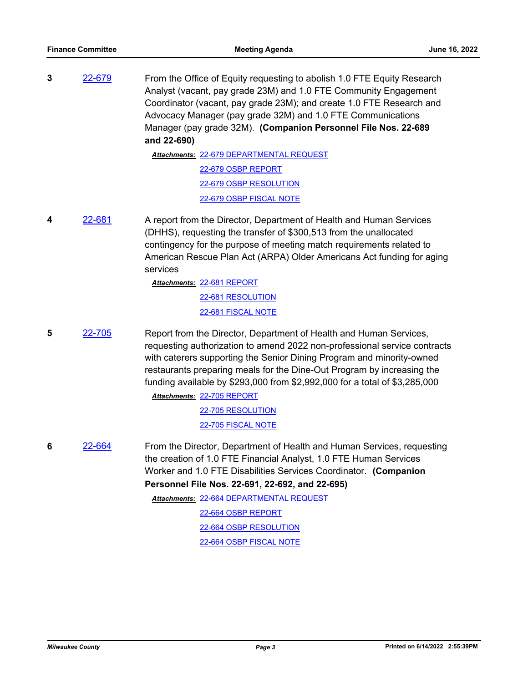**3** [22-679](http://milwaukeecounty.legistar.com/gateway.aspx?m=l&id=/matter.aspx?key=12377) From the Office of Equity requesting to abolish 1.0 FTE Equity Research Analyst (vacant, pay grade 23M) and 1.0 FTE Community Engagement Coordinator (vacant, pay grade 23M); and create 1.0 FTE Research and Advocacy Manager (pay grade 32M) and 1.0 FTE Communications Manager (pay grade 32M). **(Companion Personnel File Nos. 22-689 and 22-690)**

> [22-679 DEPARTMENTAL REQUEST](http://MilwaukeeCounty.legistar.com/gateway.aspx?M=F&ID=937bf685-56ba-41e9-8a16-735621663696.docx) *Attachments:* [22-679 OSBP REPORT](http://MilwaukeeCounty.legistar.com/gateway.aspx?M=F&ID=fa3e08c3-18fc-4a05-b631-7626483369d9.pdf) [22-679 OSBP RESOLUTION](http://MilwaukeeCounty.legistar.com/gateway.aspx?M=F&ID=7f0f3223-6ada-4ce2-919a-63f05836abb9.docx) [22-679 OSBP FISCAL NOTE](http://MilwaukeeCounty.legistar.com/gateway.aspx?M=F&ID=3d0cb5b2-2fd7-427f-b1a8-b0735825153b.pdf)

**4** [22-681](http://milwaukeecounty.legistar.com/gateway.aspx?m=l&id=/matter.aspx?key=12379) A report from the Director, Department of Health and Human Services (DHHS), requesting the transfer of \$300,513 from the unallocated contingency for the purpose of meeting match requirements related to American Rescue Plan Act (ARPA) Older Americans Act funding for aging services

> [22-681 REPORT](http://MilwaukeeCounty.legistar.com/gateway.aspx?M=F&ID=d8c46cb8-8177-49eb-8ef7-75b0d1b3c078.pdf) *Attachments:* [22-681 RESOLUTION](http://MilwaukeeCounty.legistar.com/gateway.aspx?M=F&ID=db9b5f59-75aa-4de0-8998-6cb9bd77557d.doc) [22-681 FISCAL NOTE](http://MilwaukeeCounty.legistar.com/gateway.aspx?M=F&ID=1096270f-63cf-434f-af5f-737bf6777e55.pdf)

**5** [22-705](http://milwaukeecounty.legistar.com/gateway.aspx?m=l&id=/matter.aspx?key=12404) Report from the Director, Department of Health and Human Services, requesting authorization to amend 2022 non-professional service contracts with caterers supporting the Senior Dining Program and minority-owned restaurants preparing meals for the Dine-Out Program by increasing the funding available by \$293,000 from \$2,992,000 for a total of \$3,285,000

> [22-705 REPORT](http://MilwaukeeCounty.legistar.com/gateway.aspx?M=F&ID=d3ee8dcc-86c7-4ced-930a-ba9dd434437c.pdf) *Attachments:* [22-705 RESOLUTION](http://MilwaukeeCounty.legistar.com/gateway.aspx?M=F&ID=f2893725-a830-489c-b4ae-894167a0da87.doc) [22-705 FISCAL NOTE](http://MilwaukeeCounty.legistar.com/gateway.aspx?M=F&ID=e5470e9b-6671-435b-87c0-673cf18457c4.pdf)

**6** [22-664](http://milwaukeecounty.legistar.com/gateway.aspx?m=l&id=/matter.aspx?key=12362) From the Director, Department of Health and Human Services, requesting the creation of 1.0 FTE Financial Analyst, 1.0 FTE Human Services Worker and 1.0 FTE Disabilities Services Coordinator. **(Companion Personnel File Nos. 22-691, 22-692, and 22-695)**

> [22-664 DEPARTMENTAL REQUEST](http://MilwaukeeCounty.legistar.com/gateway.aspx?M=F&ID=baf38a87-9492-4d00-aa2a-90d16bd7b7e4.pdf) *Attachments:* [22-664 OSBP REPORT](http://MilwaukeeCounty.legistar.com/gateway.aspx?M=F&ID=e50614d6-427e-4dfe-8b60-b164436ac253.pdf) [22-664 OSBP RESOLUTION](http://MilwaukeeCounty.legistar.com/gateway.aspx?M=F&ID=2ec0f03b-34cd-4289-9c65-837f79047920.docx) [22-664 OSBP FISCAL NOTE](http://MilwaukeeCounty.legistar.com/gateway.aspx?M=F&ID=89190461-d76e-4a8e-ab89-035327f1467f.pdf)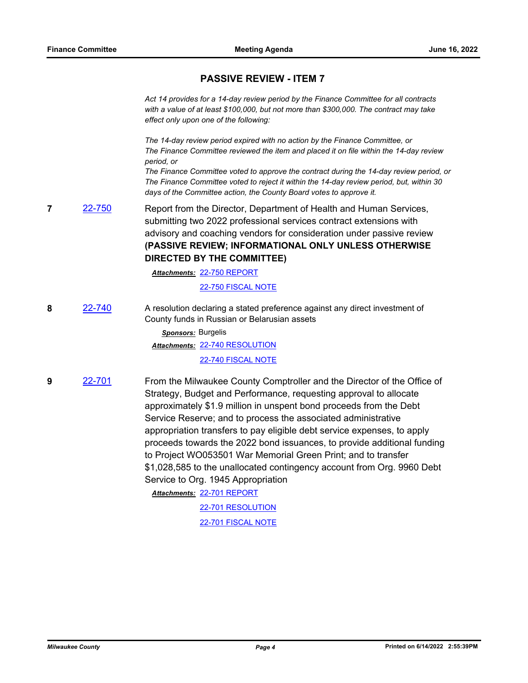### **PASSIVE REVIEW - ITEM 7**

*Act 14 provides for a 14-day review period by the Finance Committee for all contracts with a value of at least \$100,000, but not more than \$300,000. The contract may take effect only upon one of the following:*

*The 14-day review period expired with no action by the Finance Committee, or The Finance Committee reviewed the item and placed it on file within the 14-day review period, or*

*The Finance Committee voted to approve the contract during the 14-day review period, or The Finance Committee voted to reject it within the 14-day review period, but, within 30 days of the Committee action, the County Board votes to approve it.*

**7** [22-750](http://milwaukeecounty.legistar.com/gateway.aspx?m=l&id=/matter.aspx?key=12456) Report from the Director, Department of Health and Human Services, submitting two 2022 professional services contract extensions with advisory and coaching vendors for consideration under passive review **(PASSIVE REVIEW; INFORMATIONAL ONLY UNLESS OTHERWISE DIRECTED BY THE COMMITTEE)**

[22-750 REPORT](http://MilwaukeeCounty.legistar.com/gateway.aspx?M=F&ID=ba6574d2-b799-4b1a-85c0-d14ef6a935bc.pdf) *Attachments:*

[22-750 FISCAL NOTE](http://MilwaukeeCounty.legistar.com/gateway.aspx?M=F&ID=87b2155c-e93f-49e4-8b6a-cb90d89145d8.pdf)

**8** [22-740](http://milwaukeecounty.legistar.com/gateway.aspx?m=l&id=/matter.aspx?key=12441) A resolution declaring a stated preference against any direct investment of County funds in Russian or Belarusian assets

> *Sponsors:* Burgelis [22-740 RESOLUTION](http://MilwaukeeCounty.legistar.com/gateway.aspx?M=F&ID=72378a93-798d-4b06-8208-fb45c8dd973b.docx) *Attachments:* [22-740 FISCAL NOTE](http://MilwaukeeCounty.legistar.com/gateway.aspx?M=F&ID=e6bfa7fc-56ec-49b6-ad86-cd69c4b2f8dc.pdf)

**9** [22-701](http://milwaukeecounty.legistar.com/gateway.aspx?m=l&id=/matter.aspx?key=12400) From the Milwaukee County Comptroller and the Director of the Office of Strategy, Budget and Performance, requesting approval to allocate approximately \$1.9 million in unspent bond proceeds from the Debt Service Reserve; and to process the associated administrative appropriation transfers to pay eligible debt service expenses, to apply proceeds towards the 2022 bond issuances, to provide additional funding to Project WO053501 War Memorial Green Print; and to transfer \$1,028,585 to the unallocated contingency account from Org. 9960 Debt Service to Org. 1945 Appropriation

[22-701 REPORT](http://MilwaukeeCounty.legistar.com/gateway.aspx?M=F&ID=9cadb2ea-70d2-4262-999f-b34cc186671e.pdf) *Attachments:*

[22-701 RESOLUTION](http://MilwaukeeCounty.legistar.com/gateway.aspx?M=F&ID=bd84aad5-5580-45a2-8e10-d9210ed63427.docx) [22-701 FISCAL NOTE](http://MilwaukeeCounty.legistar.com/gateway.aspx?M=F&ID=116149e2-0e03-41d4-b910-fb3b47509cc8.pdf)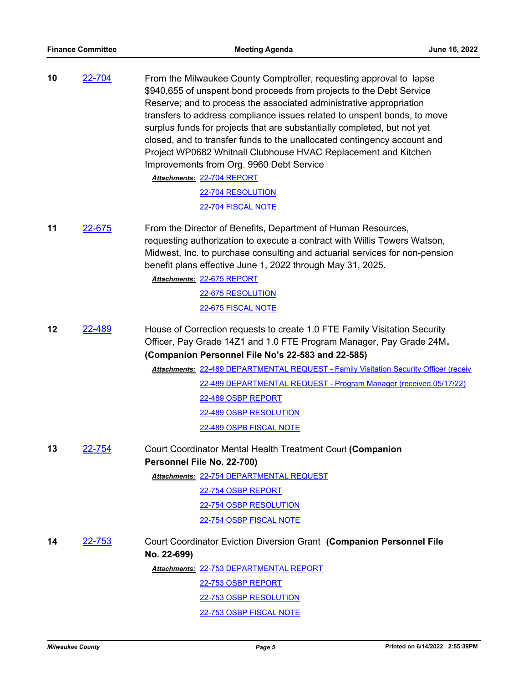| 10 | 22-704        | From the Milwaukee County Comptroller, requesting approval to lapse<br>\$940,655 of unspent bond proceeds from projects to the Debt Service<br>Reserve; and to process the associated administrative appropriation<br>transfers to address compliance issues related to unspent bonds, to move<br>surplus funds for projects that are substantially completed, but not yet<br>closed, and to transfer funds to the unallocated contingency account and<br>Project WP0682 Whitnall Clubhouse HVAC Replacement and Kitchen<br>Improvements from Org. 9960 Debt Service<br>Attachments: 22-704 REPORT<br>22-704 RESOLUTION<br>22-704 FISCAL NOTE |
|----|---------------|-----------------------------------------------------------------------------------------------------------------------------------------------------------------------------------------------------------------------------------------------------------------------------------------------------------------------------------------------------------------------------------------------------------------------------------------------------------------------------------------------------------------------------------------------------------------------------------------------------------------------------------------------|
| 11 | 22-675        | From the Director of Benefits, Department of Human Resources,<br>requesting authorization to execute a contract with Willis Towers Watson,<br>Midwest, Inc. to purchase consulting and actuarial services for non-pension<br>benefit plans effective June 1, 2022 through May 31, 2025.<br>Attachments: 22-675 REPORT<br>22-675 RESOLUTION                                                                                                                                                                                                                                                                                                    |
|    |               | 22-675 FISCAL NOTE                                                                                                                                                                                                                                                                                                                                                                                                                                                                                                                                                                                                                            |
| 12 | 22-489        | House of Correction requests to create 1.0 FTE Family Visitation Security<br>Officer, Pay Grade 14Z1 and 1.0 FTE Program Manager, Pay Grade 24M.<br>(Companion Personnel File No's 22-583 and 22-585)<br><b>Attachments: 22-489 DEPARTMENTAL REQUEST - Family Visitation Security Officer (receiv</b><br>22-489 DEPARTMENTAL REQUEST - Program Manager (received 05/17/22)<br>22-489 OSBP REPORT<br>22-489 OSBP RESOLUTION<br>22-489 OSPB FISCAL NOTE                                                                                                                                                                                         |
| 13 | 22-754        | Court Coordinator Mental Health Treatment Court (Companion<br>Personnel File No. 22-700)<br>Attachments: 22-754 DEPARTMENTAL REQUEST<br>22-754 OSBP REPORT<br>22-754 OSBP RESOLUTION<br>22-754 OSBP FISCAL NOTE                                                                                                                                                                                                                                                                                                                                                                                                                               |
| 14 | <u>22-753</u> | Court Coordinator Eviction Diversion Grant (Companion Personnel File<br>No. 22-699)<br>Attachments: 22-753 DEPARTMENTAL REPORT<br>22-753 OSBP REPORT<br>22-753 OSBP RESOLUTION<br>22-753 OSBP FISCAL NOTE                                                                                                                                                                                                                                                                                                                                                                                                                                     |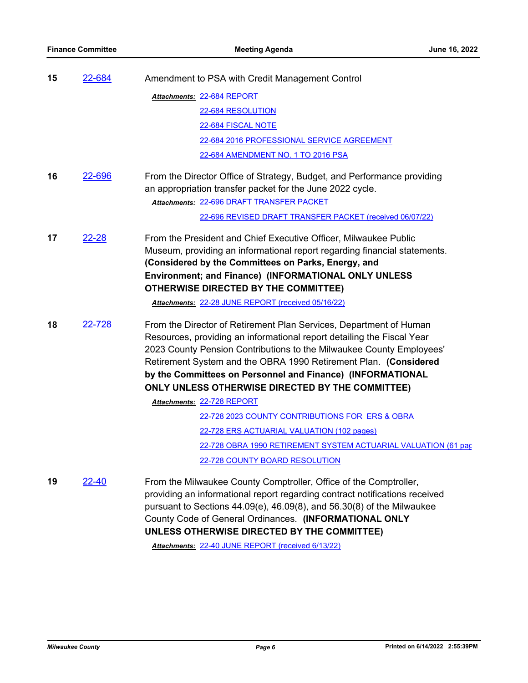| 15 | 22-684        | Amendment to PSA with Credit Management Control                                                                                                                                                                                                                                                                                                                                                            |
|----|---------------|------------------------------------------------------------------------------------------------------------------------------------------------------------------------------------------------------------------------------------------------------------------------------------------------------------------------------------------------------------------------------------------------------------|
|    |               | Attachments: 22-684 REPORT                                                                                                                                                                                                                                                                                                                                                                                 |
|    |               | 22-684 RESOLUTION                                                                                                                                                                                                                                                                                                                                                                                          |
|    |               | 22-684 FISCAL NOTE                                                                                                                                                                                                                                                                                                                                                                                         |
|    |               | 22-684 2016 PROFESSIONAL SERVICE AGREEMENT                                                                                                                                                                                                                                                                                                                                                                 |
|    |               | 22-684 AMENDMENT NO. 1 TO 2016 PSA                                                                                                                                                                                                                                                                                                                                                                         |
| 16 | <u>22-696</u> | From the Director Office of Strategy, Budget, and Performance providing<br>an appropriation transfer packet for the June 2022 cycle.                                                                                                                                                                                                                                                                       |
|    |               | Attachments: 22-696 DRAFT TRANSFER PACKET                                                                                                                                                                                                                                                                                                                                                                  |
|    |               | 22-696 REVISED DRAFT TRANSFER PACKET (received 06/07/22)                                                                                                                                                                                                                                                                                                                                                   |
| 17 | 22-28         | From the President and Chief Executive Officer, Milwaukee Public<br>Museum, providing an informational report regarding financial statements.<br>(Considered by the Committees on Parks, Energy, and<br>Environment; and Finance) (INFORMATIONAL ONLY UNLESS<br><b>OTHERWISE DIRECTED BY THE COMMITTEE)</b>                                                                                                |
|    |               | Attachments: 22-28 JUNE REPORT (received 05/16/22)                                                                                                                                                                                                                                                                                                                                                         |
| 18 | 22-728        | From the Director of Retirement Plan Services, Department of Human<br>Resources, providing an informational report detailing the Fiscal Year<br>2023 County Pension Contributions to the Milwaukee County Employees'<br>Retirement System and the OBRA 1990 Retirement Plan. (Considered<br>by the Committees on Personnel and Finance) (INFORMATIONAL<br>ONLY UNLESS OTHERWISE DIRECTED BY THE COMMITTEE) |
|    |               | Attachments: 22-728 REPORT                                                                                                                                                                                                                                                                                                                                                                                 |
|    |               | 22-728 2023 COUNTY CONTRIBUTIONS FOR ERS & OBRA                                                                                                                                                                                                                                                                                                                                                            |
|    |               | 22-728 ERS ACTUARIAL VALUATION (102 pages)                                                                                                                                                                                                                                                                                                                                                                 |
|    |               | 22-728 OBRA 1990 RETIREMENT SYSTEM ACTUARIAL VALUATION (61 pac                                                                                                                                                                                                                                                                                                                                             |
|    |               | 22-728 COUNTY BOARD RESOLUTION                                                                                                                                                                                                                                                                                                                                                                             |
| 19 | <u>22-40</u>  | From the Milwaukee County Comptroller, Office of the Comptroller,<br>providing an informational report regarding contract notifications received<br>pursuant to Sections $44.09(e)$ , $46.09(8)$ , and $56.30(8)$ of the Milwaukee<br>County Code of General Ordinances. (INFORMATIONAL ONLY<br>UNLESS OTHERWISE DIRECTED BY THE COMMITTEE)                                                                |

*Attachments:* [22-40 JUNE REPORT \(received 6/13/22\)](http://MilwaukeeCounty.legistar.com/gateway.aspx?M=F&ID=45d5501c-7eca-4aa1-b986-481529a6aa38.pdf)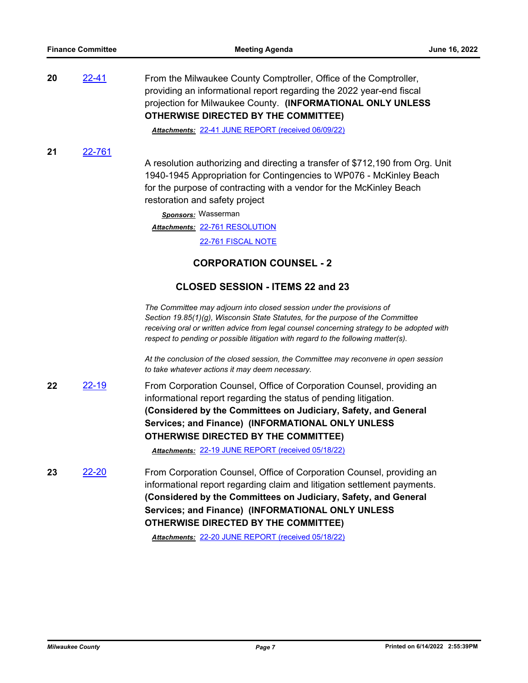**20** [22-41](http://milwaukeecounty.legistar.com/gateway.aspx?m=l&id=/matter.aspx?key=11863) From the Milwaukee County Comptroller, Office of the Comptroller, providing an informational report regarding the 2022 year-end fiscal projection for Milwaukee County. **(INFORMATIONAL ONLY UNLESS OTHERWISE DIRECTED BY THE COMMITTEE)**

*Attachments:* [22-41 JUNE REPORT \(received 06/09/22\)](http://MilwaukeeCounty.legistar.com/gateway.aspx?M=F&ID=5668200d-7b94-4ad1-957d-af2b8230378f.pdf)

**21** [22-761](http://milwaukeecounty.legistar.com/gateway.aspx?m=l&id=/matter.aspx?key=12471)

A resolution authorizing and directing a transfer of \$712,190 from Org. Unit 1940-1945 Appropriation for Contingencies to WP076 - McKinley Beach for the purpose of contracting with a vendor for the McKinley Beach restoration and safety project

*Sponsors:* Wasserman [22-761 RESOLUTION](http://MilwaukeeCounty.legistar.com/gateway.aspx?M=F&ID=7192c3b5-bcdb-471c-920b-fd3d28fe2861.docx) *Attachments:* [22-761 FISCAL NOTE](http://MilwaukeeCounty.legistar.com/gateway.aspx?M=F&ID=7f6d637a-6adc-4bfa-94f4-f23d6d48d47d.pdf)

### **CORPORATION COUNSEL - 2**

#### **CLOSED SESSION - ITEMS 22 and 23**

*The Committee may adjourn into closed session under the provisions of Section 19.85(1)(g), Wisconsin State Statutes, for the purpose of the Committee receiving oral or written advice from legal counsel concerning strategy to be adopted with respect to pending or possible litigation with regard to the following matter(s).*

*At the conclusion of the closed session, the Committee may reconvene in open session to take whatever actions it may deem necessary.*

**22** [22-19](http://milwaukeecounty.legistar.com/gateway.aspx?m=l&id=/matter.aspx?key=11841) From Corporation Counsel, Office of Corporation Counsel, providing an informational report regarding the status of pending litigation. **(Considered by the Committees on Judiciary, Safety, and General Services; and Finance) (INFORMATIONAL ONLY UNLESS OTHERWISE DIRECTED BY THE COMMITTEE)**

*Attachments:* [22-19 JUNE REPORT \(received 05/18/22\)](http://MilwaukeeCounty.legistar.com/gateway.aspx?M=F&ID=23ddcdc8-a5ce-40f1-901d-89e8394b6291.pdf)

**23** [22-20](http://milwaukeecounty.legistar.com/gateway.aspx?m=l&id=/matter.aspx?key=11842) From Corporation Counsel, Office of Corporation Counsel, providing an informational report regarding claim and litigation settlement payments. **(Considered by the Committees on Judiciary, Safety, and General Services; and Finance) (INFORMATIONAL ONLY UNLESS OTHERWISE DIRECTED BY THE COMMITTEE)**

*Attachments:* [22-20 JUNE REPORT \(received 05/18/22\)](http://MilwaukeeCounty.legistar.com/gateway.aspx?M=F&ID=8e73dd96-70f8-4064-bdb0-5972b96148d6.pdf)